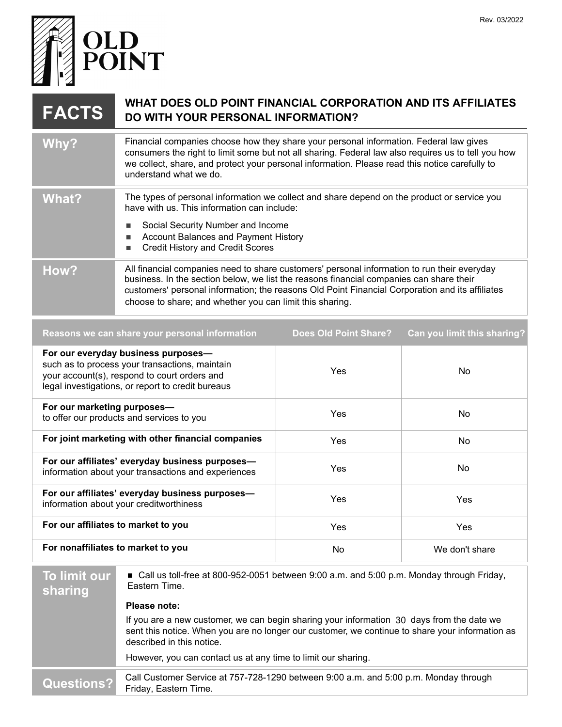

## **FACTS** WHAT DOES OLD POINT FINANCIAL CORPORATION AND ITS AFFILIATES<br>DO WITH YOUR PERSONAL INFORMATION? **DO WITH YOUR PERSONAL INFORMATION?**

| <b>Why?</b> | Financial companies choose how they share your personal information. Federal law gives<br>consumers the right to limit some but not all sharing. Federal law also requires us to tell you how<br>we collect, share, and protect your personal information. Please read this notice carefully to<br>understand what we do.                             |
|-------------|-------------------------------------------------------------------------------------------------------------------------------------------------------------------------------------------------------------------------------------------------------------------------------------------------------------------------------------------------------|
| What?       | The types of personal information we collect and share depend on the product or service you<br>have with us. This information can include:<br>Social Security Number and Income<br><b>Account Balances and Payment History</b><br><b>Credit History and Credit Scores</b>                                                                             |
| How?        | All financial companies need to share customers' personal information to run their everyday<br>business. In the section below, we list the reasons financial companies can share their<br>customers' personal information; the reasons Old Point Financial Corporation and its affiliates<br>choose to share; and whether you can limit this sharing. |

| Reasons we can share your personal information                                                                                                                                             | <b>Does Old Point Share?</b> | Can you limit this sharing? |
|--------------------------------------------------------------------------------------------------------------------------------------------------------------------------------------------|------------------------------|-----------------------------|
| For our everyday business purposes-<br>such as to process your transactions, maintain<br>your account(s), respond to court orders and<br>legal investigations, or report to credit bureaus | Yes                          | No                          |
| For our marketing purposes-<br>to offer our products and services to you                                                                                                                   | Yes                          | No.                         |
| For joint marketing with other financial companies                                                                                                                                         | Yes                          | No                          |
| For our affiliates' everyday business purposes-<br>information about your transactions and experiences                                                                                     | Yes                          | No.                         |
| For our affiliates' everyday business purposes-<br>information about your creditworthiness                                                                                                 | <b>Yes</b>                   | Yes                         |
| For our affiliates to market to you                                                                                                                                                        | Yes                          | Yes                         |
| For nonaffiliates to market to you                                                                                                                                                         | No                           | We don't share              |

## **To limit our sharing** Call us toll-free at 800-952-0051 between 9:00 a.m. and 5:00 p.m. Monday through Friday, Eastern Time. **Questions?** Call Customer Service at 757-728-1290 between 9:00 a.m. and 5:00 p.m. Monday through Friday, Eastern Time. **Please note:**  If you are a new customer, we can begin sharing your information 30 days from the date we sent this notice. When you are no longer our customer, we continue to share your information as described in this notice. However, you can contact us at any time to limit our sharing.